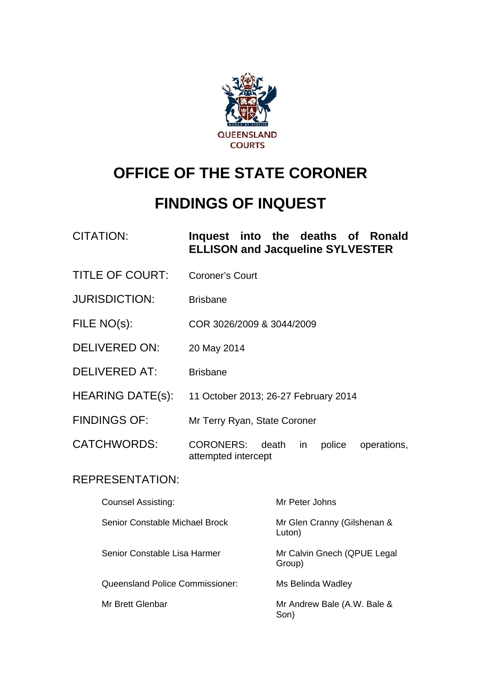

# **OFFICE OF THE STATE CORONER**

# **FINDINGS OF INQUEST**

# CITATION: **Inquest into the deaths of Ronald ELLISON and Jacqueline SYLVESTER**

- TITLE OF COURT: Coroner's Court
- JURISDICTION: Brisbane
- FILE NO(s): COR 3026/2009 & 3044/2009
- DELIVERED ON: 20 May 2014
- DELIVERED AT: Brisbane
- HEARING DATE(s): 11 October 2013; 26-27 February 2014
- FINDINGS OF: Mr Terry Ryan, State Coroner

CATCHWORDS: CORONERS: death in police operations, attempted intercept

#### REPRESENTATION:

| Counsel Assisting:              | Mr Peter Johns                        |
|---------------------------------|---------------------------------------|
| Senior Constable Michael Brock  | Mr Glen Cranny (Gilshenan &<br>Luton) |
| Senior Constable Lisa Harmer    | Mr Calvin Gnech (QPUE Legal<br>Group) |
| Queensland Police Commissioner: | Ms Belinda Wadley                     |
| Mr Brett Glenbar                | Mr Andrew Bale (A.W. Bale &<br>Son)   |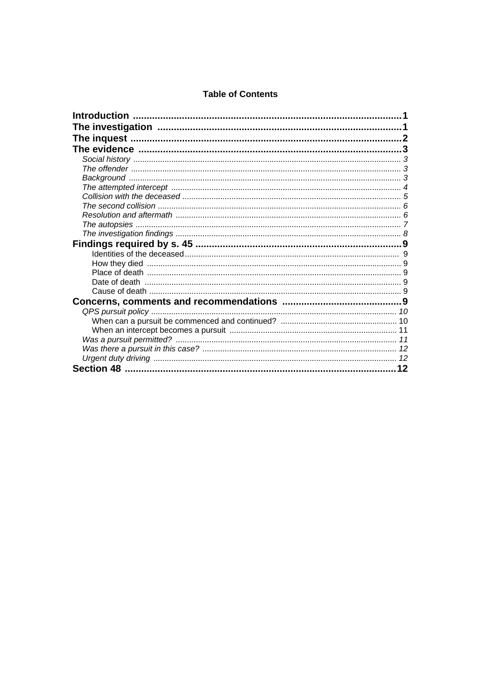#### **Table of Contents**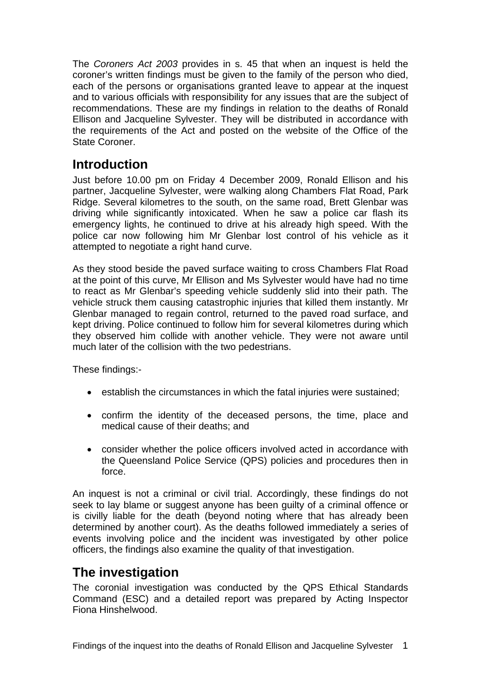The *Coroners Act 2003* provides in s. 45 that when an inquest is held the coroner's written findings must be given to the family of the person who died, each of the persons or organisations granted leave to appear at the inquest and to various officials with responsibility for any issues that are the subject of recommendations. These are my findings in relation to the deaths of Ronald Ellison and Jacqueline Sylvester. They will be distributed in accordance with the requirements of the Act and posted on the website of the Office of the State Coroner.

# <span id="page-2-0"></span>**Introduction**

Just before 10.00 pm on Friday 4 December 2009, Ronald Ellison and his partner, Jacqueline Sylvester, were walking along Chambers Flat Road, Park Ridge. Several kilometres to the south, on the same road, Brett Glenbar was driving while significantly intoxicated. When he saw a police car flash its emergency lights, he continued to drive at his already high speed. With the police car now following him Mr Glenbar lost control of his vehicle as it attempted to negotiate a right hand curve.

As they stood beside the paved surface waiting to cross Chambers Flat Road at the point of this curve, Mr Ellison and Ms Sylvester would have had no time to react as Mr Glenbar's speeding vehicle suddenly slid into their path. The vehicle struck them causing catastrophic injuries that killed them instantly. Mr Glenbar managed to regain control, returned to the paved road surface, and kept driving. Police continued to follow him for several kilometres during which they observed him collide with another vehicle. They were not aware until much later of the collision with the two pedestrians.

These findings:-

- establish the circumstances in which the fatal injuries were sustained;
- confirm the identity of the deceased persons, the time, place and medical cause of their deaths; and
- consider whether the police officers involved acted in accordance with the Queensland Police Service (QPS) policies and procedures then in force.

An inquest is not a criminal or civil trial. Accordingly, these findings do not seek to lay blame or suggest anyone has been guilty of a criminal offence or is civilly liable for the death (beyond noting where that has already been determined by another court). As the deaths followed immediately a series of events involving police and the incident was investigated by other police officers, the findings also examine the quality of that investigation.

# <span id="page-2-1"></span>**The investigation**

<span id="page-2-2"></span>The coronial investigation was conducted by the QPS Ethical Standards Command (ESC) and a detailed report was prepared by Acting Inspector Fiona Hinshelwood.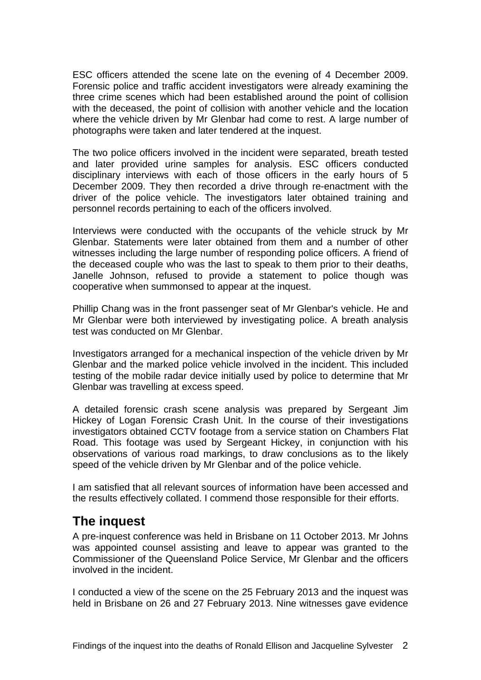ESC officers attended the scene late on the evening of 4 December 2009. Forensic police and traffic accident investigators were already examining the three crime scenes which had been established around the point of collision with the deceased, the point of collision with another vehicle and the location where the vehicle driven by Mr Glenbar had come to rest. A large number of photographs were taken and later tendered at the inquest.

The two police officers involved in the incident were separated, breath tested and later provided urine samples for analysis. ESC officers conducted disciplinary interviews with each of those officers in the early hours of 5 December 2009. They then recorded a drive through re-enactment with the driver of the police vehicle. The investigators later obtained training and personnel records pertaining to each of the officers involved.

Interviews were conducted with the occupants of the vehicle struck by Mr Glenbar. Statements were later obtained from them and a number of other witnesses including the large number of responding police officers. A friend of the deceased couple who was the last to speak to them prior to their deaths, Janelle Johnson, refused to provide a statement to police though was cooperative when summonsed to appear at the inquest.

Phillip Chang was in the front passenger seat of Mr Glenbar's vehicle. He and Mr Glenbar were both interviewed by investigating police. A breath analysis test was conducted on Mr Glenbar.

Investigators arranged for a mechanical inspection of the vehicle driven by Mr Glenbar and the marked police vehicle involved in the incident. This included testing of the mobile radar device initially used by police to determine that Mr Glenbar was travelling at excess speed.

A detailed forensic crash scene analysis was prepared by Sergeant Jim Hickey of Logan Forensic Crash Unit. In the course of their investigations investigators obtained CCTV footage from a service station on Chambers Flat Road. This footage was used by Sergeant Hickey, in conjunction with his observations of various road markings, to draw conclusions as to the likely speed of the vehicle driven by Mr Glenbar and of the police vehicle.

I am satisfied that all relevant sources of information have been accessed and the results effectively collated. I commend those responsible for their efforts.

# <span id="page-3-0"></span>**The inquest**

A pre-inquest conference was held in Brisbane on 11 October 2013. Mr Johns was appointed counsel assisting and leave to appear was granted to the Commissioner of the Queensland Police Service, Mr Glenbar and the officers involved in the incident.

I conducted a view of the scene on the 25 February 2013 and the inquest was held in Brisbane on 26 and 27 February 2013. Nine witnesses gave evidence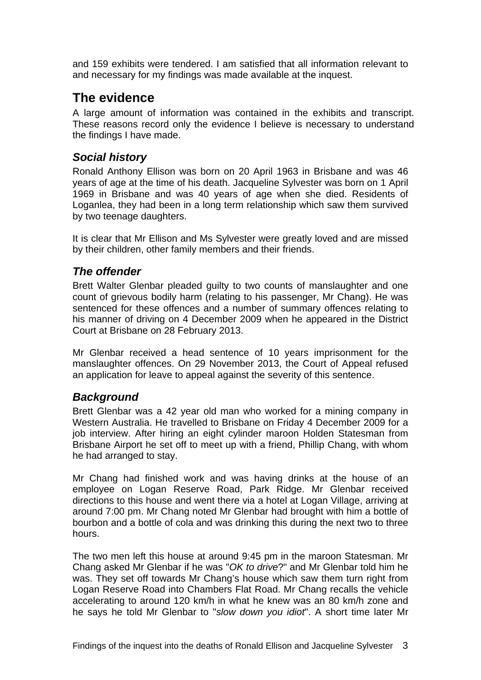and 159 exhibits were tendered. I am satisfied that all information relevant to and necessary for my findings was made available at the inquest.

# <span id="page-4-0"></span>**The evidence**

A large amount of information was contained in the exhibits and transcript. These reasons record only the evidence I believe is necessary to understand the findings I have made.

# <span id="page-4-1"></span>*Social history*

Ronald Anthony Ellison was born on 20 April 1963 in Brisbane and was 46 years of age at the time of his death. Jacqueline Sylvester was born on 1 April 1969 in Brisbane and was 40 years of age when she died. Residents of Loganlea, they had been in a long term relationship which saw them survived by two teenage daughters.

It is clear that Mr Ellison and Ms Sylvester were greatly loved and are missed by their children, other family members and their friends.

## <span id="page-4-2"></span>*The offender*

Brett Walter Glenbar pleaded guilty to two counts of manslaughter and one count of grievous bodily harm (relating to his passenger, Mr Chang). He was sentenced for these offences and a number of summary offences relating to his manner of driving on 4 December 2009 when he appeared in the District Court at Brisbane on 28 February 2013.

Mr Glenbar received a head sentence of 10 years imprisonment for the manslaughter offences. On 29 November 2013, the Court of Appeal refused an application for leave to appeal against the severity of this sentence.

## <span id="page-4-3"></span>*Background*

Brett Glenbar was a 42 year old man who worked for a mining company in Western Australia. He travelled to Brisbane on Friday 4 December 2009 for a job interview. After hiring an eight cylinder maroon Holden Statesman from Brisbane Airport he set off to meet up with a friend, Phillip Chang, with whom he had arranged to stay.

Mr Chang had finished work and was having drinks at the house of an employee on Logan Reserve Road, Park Ridge. Mr Glenbar received directions to this house and went there via a hotel at Logan Village, arriving at around 7:00 pm. Mr Chang noted Mr Glenbar had brought with him a bottle of bourbon and a bottle of cola and was drinking this during the next two to three hours.

The two men left this house at around 9:45 pm in the maroon Statesman. Mr Chang asked Mr Glenbar if he was "*OK to drive*?" and Mr Glenbar told him he was. They set off towards Mr Chang's house which saw them turn right from Logan Reserve Road into Chambers Flat Road. Mr Chang recalls the vehicle accelerating to around 120 km/h in what he knew was an 80 km/h zone and he says he told Mr Glenbar to "*slow down you idiot*". A short time later Mr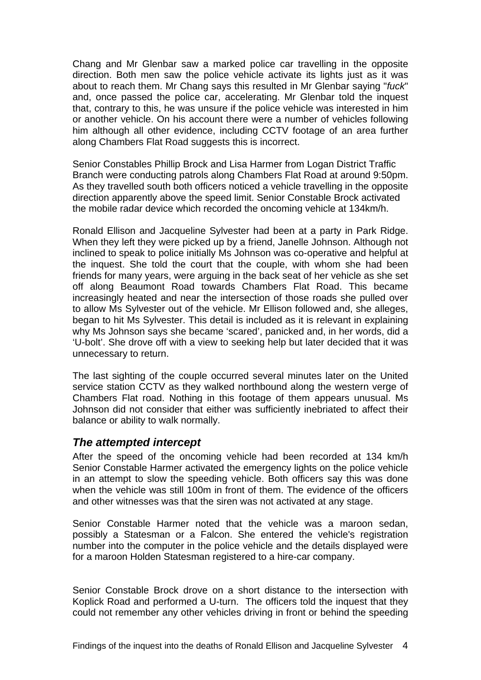Chang and Mr Glenbar saw a marked police car travelling in the opposite direction. Both men saw the police vehicle activate its lights just as it was about to reach them. Mr Chang says this resulted in Mr Glenbar saying "*fuck*" and, once passed the police car, accelerating. Mr Glenbar told the inquest that, contrary to this, he was unsure if the police vehicle was interested in him or another vehicle. On his account there were a number of vehicles following him although all other evidence, including CCTV footage of an area further along Chambers Flat Road suggests this is incorrect.

Senior Constables Phillip Brock and Lisa Harmer from Logan District Traffic Branch were conducting patrols along Chambers Flat Road at around 9:50pm. As they travelled south both officers noticed a vehicle travelling in the opposite direction apparently above the speed limit. Senior Constable Brock activated the mobile radar device which recorded the oncoming vehicle at 134km/h.

Ronald Ellison and Jacqueline Sylvester had been at a party in Park Ridge. When they left they were picked up by a friend, Janelle Johnson. Although not inclined to speak to police initially Ms Johnson was co-operative and helpful at the inquest. She told the court that the couple, with whom she had been friends for many years, were arguing in the back seat of her vehicle as she set off along Beaumont Road towards Chambers Flat Road. This became increasingly heated and near the intersection of those roads she pulled over to allow Ms Sylvester out of the vehicle. Mr Ellison followed and, she alleges, began to hit Ms Sylvester. This detail is included as it is relevant in explaining why Ms Johnson says she became 'scared', panicked and, in her words, did a 'U-bolt'. She drove off with a view to seeking help but later decided that it was unnecessary to return.

The last sighting of the couple occurred several minutes later on the United service station CCTV as they walked northbound along the western verge of Chambers Flat road. Nothing in this footage of them appears unusual. Ms Johnson did not consider that either was sufficiently inebriated to affect their balance or ability to walk normally.

#### <span id="page-5-0"></span>*The attempted intercept*

After the speed of the oncoming vehicle had been recorded at 134 km/h Senior Constable Harmer activated the emergency lights on the police vehicle in an attempt to slow the speeding vehicle. Both officers say this was done when the vehicle was still 100m in front of them. The evidence of the officers and other witnesses was that the siren was not activated at any stage.

Senior Constable Harmer noted that the vehicle was a maroon sedan, possibly a Statesman or a Falcon. She entered the vehicle's registration number into the computer in the police vehicle and the details displayed were for a maroon Holden Statesman registered to a hire-car company.

Senior Constable Brock drove on a short distance to the intersection with Koplick Road and performed a U-turn. The officers told the inquest that they could not remember any other vehicles driving in front or behind the speeding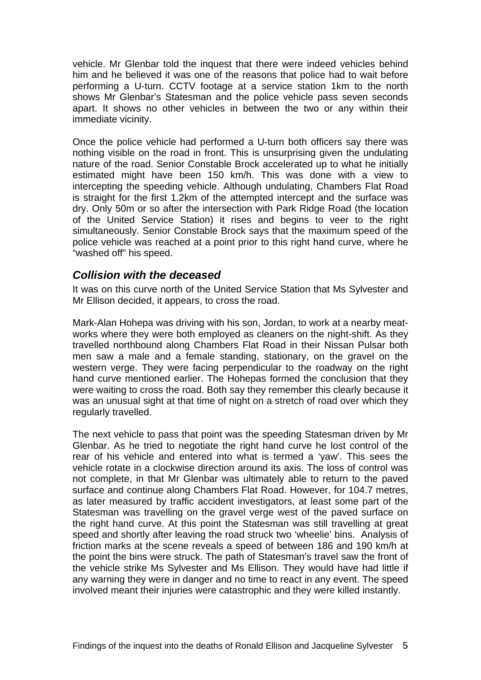vehicle. Mr Glenbar told the inquest that there were indeed vehicles behind him and he believed it was one of the reasons that police had to wait before performing a U-turn. CCTV footage at a service station 1km to the north shows Mr Glenbar's Statesman and the police vehicle pass seven seconds apart. It shows no other vehicles in between the two or any within their immediate vicinity.

Once the police vehicle had performed a U-turn both officers say there was nothing visible on the road in front. This is unsurprising given the undulating nature of the road. Senior Constable Brock accelerated up to what he initially estimated might have been 150 km/h. This was done with a view to intercepting the speeding vehicle. Although undulating, Chambers Flat Road is straight for the first 1.2km of the attempted intercept and the surface was dry. Only 50m or so after the intersection with Park Ridge Road (the location of the United Service Station) it rises and begins to veer to the right simultaneously. Senior Constable Brock says that the maximum speed of the police vehicle was reached at a point prior to this right hand curve, where he "washed off" his speed.

#### <span id="page-6-0"></span>*Collision with the deceased*

It was on this curve north of the United Service Station that Ms Sylvester and Mr Ellison decided, it appears, to cross the road.

Mark-Alan Hohepa was driving with his son, Jordan, to work at a nearby meatworks where they were both employed as cleaners on the night-shift. As they travelled northbound along Chambers Flat Road in their Nissan Pulsar both men saw a male and a female standing, stationary, on the gravel on the western verge. They were facing perpendicular to the roadway on the right hand curve mentioned earlier. The Hohepas formed the conclusion that they were waiting to cross the road. Both say they remember this clearly because it was an unusual sight at that time of night on a stretch of road over which they regularly travelled.

The next vehicle to pass that point was the speeding Statesman driven by Mr Glenbar. As he tried to negotiate the right hand curve he lost control of the rear of his vehicle and entered into what is termed a 'yaw'. This sees the vehicle rotate in a clockwise direction around its axis. The loss of control was not complete, in that Mr Glenbar was ultimately able to return to the paved surface and continue along Chambers Flat Road. However, for 104.7 metres, as later measured by traffic accident investigators, at least some part of the Statesman was travelling on the gravel verge west of the paved surface on the right hand curve. At this point the Statesman was still travelling at great speed and shortly after leaving the road struck two 'wheelie' bins. Analysis of friction marks at the scene reveals a speed of between 186 and 190 km/h at the point the bins were struck. The path of Statesman's travel saw the front of the vehicle strike Ms Sylvester and Ms Ellison. They would have had little if any warning they were in danger and no time to react in any event. The speed involved meant their injuries were catastrophic and they were killed instantly.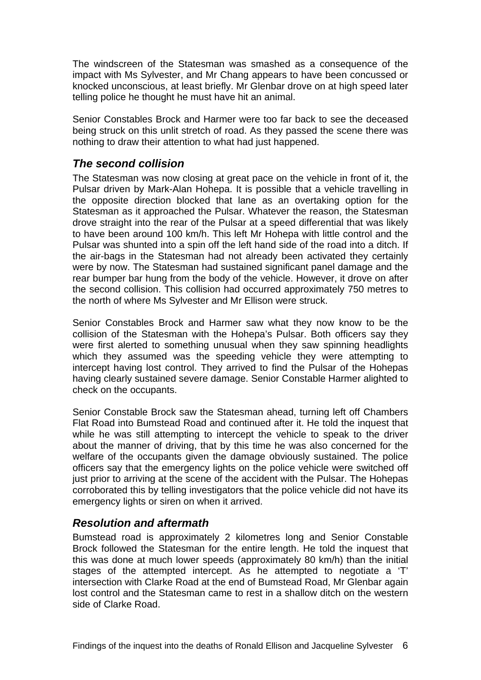The windscreen of the Statesman was smashed as a consequence of the impact with Ms Sylvester, and Mr Chang appears to have been concussed or knocked unconscious, at least briefly. Mr Glenbar drove on at high speed later telling police he thought he must have hit an animal.

Senior Constables Brock and Harmer were too far back to see the deceased being struck on this unlit stretch of road. As they passed the scene there was nothing to draw their attention to what had just happened.

### <span id="page-7-0"></span>*The second collision*

The Statesman was now closing at great pace on the vehicle in front of it, the Pulsar driven by Mark-Alan Hohepa. It is possible that a vehicle travelling in the opposite direction blocked that lane as an overtaking option for the Statesman as it approached the Pulsar. Whatever the reason, the Statesman drove straight into the rear of the Pulsar at a speed differential that was likely to have been around 100 km/h. This left Mr Hohepa with little control and the Pulsar was shunted into a spin off the left hand side of the road into a ditch. If the air-bags in the Statesman had not already been activated they certainly were by now. The Statesman had sustained significant panel damage and the rear bumper bar hung from the body of the vehicle. However, it drove on after the second collision. This collision had occurred approximately 750 metres to the north of where Ms Sylvester and Mr Ellison were struck.

Senior Constables Brock and Harmer saw what they now know to be the collision of the Statesman with the Hohepa's Pulsar. Both officers say they were first alerted to something unusual when they saw spinning headlights which they assumed was the speeding vehicle they were attempting to intercept having lost control. They arrived to find the Pulsar of the Hohepas having clearly sustained severe damage. Senior Constable Harmer alighted to check on the occupants.

Senior Constable Brock saw the Statesman ahead, turning left off Chambers Flat Road into Bumstead Road and continued after it. He told the inquest that while he was still attempting to intercept the vehicle to speak to the driver about the manner of driving, that by this time he was also concerned for the welfare of the occupants given the damage obviously sustained. The police officers say that the emergency lights on the police vehicle were switched off just prior to arriving at the scene of the accident with the Pulsar. The Hohepas corroborated this by telling investigators that the police vehicle did not have its emergency lights or siren on when it arrived.

#### <span id="page-7-1"></span>*Resolution and aftermath*

Bumstead road is approximately 2 kilometres long and Senior Constable Brock followed the Statesman for the entire length. He told the inquest that this was done at much lower speeds (approximately 80 km/h) than the initial stages of the attempted intercept. As he attempted to negotiate a 'T' intersection with Clarke Road at the end of Bumstead Road, Mr Glenbar again lost control and the Statesman came to rest in a shallow ditch on the western side of Clarke Road.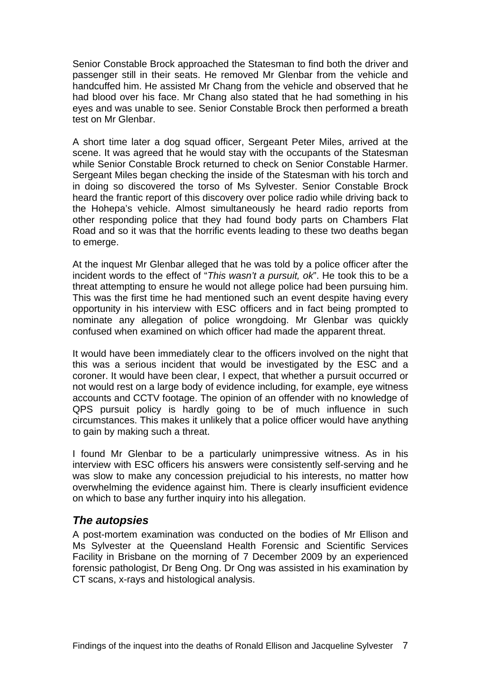Senior Constable Brock approached the Statesman to find both the driver and passenger still in their seats. He removed Mr Glenbar from the vehicle and handcuffed him. He assisted Mr Chang from the vehicle and observed that he had blood over his face. Mr Chang also stated that he had something in his eyes and was unable to see. Senior Constable Brock then performed a breath test on Mr Glenbar.

A short time later a dog squad officer, Sergeant Peter Miles, arrived at the scene. It was agreed that he would stay with the occupants of the Statesman while Senior Constable Brock returned to check on Senior Constable Harmer. Sergeant Miles began checking the inside of the Statesman with his torch and in doing so discovered the torso of Ms Sylvester. Senior Constable Brock heard the frantic report of this discovery over police radio while driving back to the Hohepa's vehicle. Almost simultaneously he heard radio reports from other responding police that they had found body parts on Chambers Flat Road and so it was that the horrific events leading to these two deaths began to emerge.

At the inquest Mr Glenbar alleged that he was told by a police officer after the incident words to the effect of "*This wasn't a pursuit, ok*". He took this to be a threat attempting to ensure he would not allege police had been pursuing him. This was the first time he had mentioned such an event despite having every opportunity in his interview with ESC officers and in fact being prompted to nominate any allegation of police wrongdoing. Mr Glenbar was quickly confused when examined on which officer had made the apparent threat.

It would have been immediately clear to the officers involved on the night that this was a serious incident that would be investigated by the ESC and a coroner. It would have been clear, I expect, that whether a pursuit occurred or not would rest on a large body of evidence including, for example, eye witness accounts and CCTV footage. The opinion of an offender with no knowledge of QPS pursuit policy is hardly going to be of much influence in such circumstances. This makes it unlikely that a police officer would have anything to gain by making such a threat.

I found Mr Glenbar to be a particularly unimpressive witness. As in his interview with ESC officers his answers were consistently self-serving and he was slow to make any concession prejudicial to his interests, no matter how overwhelming the evidence against him. There is clearly insufficient evidence on which to base any further inquiry into his allegation.

#### <span id="page-8-0"></span>*The autopsies*

A post-mortem examination was conducted on the bodies of Mr Ellison and Ms Sylvester at the Queensland Health Forensic and Scientific Services Facility in Brisbane on the morning of 7 December 2009 by an experienced forensic pathologist, Dr Beng Ong. Dr Ong was assisted in his examination by CT scans, x-rays and histological analysis.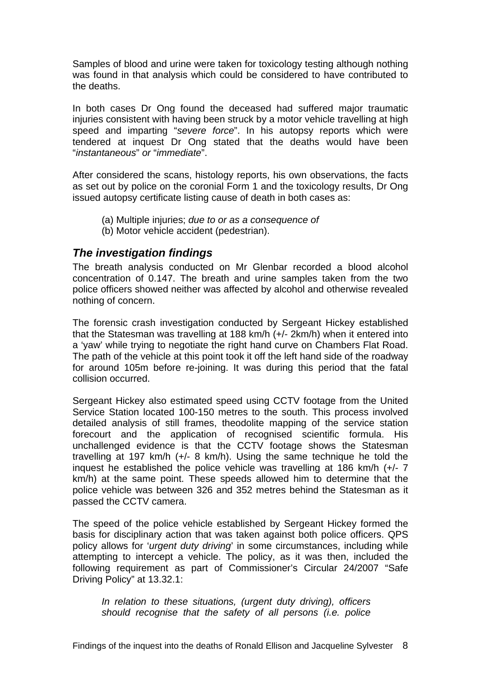Samples of blood and urine were taken for toxicology testing although nothing was found in that analysis which could be considered to have contributed to the deaths.

In both cases Dr Ong found the deceased had suffered major traumatic injuries consistent with having been struck by a motor vehicle travelling at high speed and imparting "*severe force*". In his autopsy reports which were tendered at inquest Dr Ong stated that the deaths would have been "*instantaneous*" *or* "*immediate*".

After considered the scans, histology reports, his own observations, the facts as set out by police on the coronial Form 1 and the toxicology results, Dr Ong issued autopsy certificate listing cause of death in both cases as:

- (a) Multiple injuries; *due to or as a consequence of*
- (b) Motor vehicle accident (pedestrian).

#### <span id="page-9-0"></span>*The investigation findings*

The breath analysis conducted on Mr Glenbar recorded a blood alcohol concentration of 0.147. The breath and urine samples taken from the two police officers showed neither was affected by alcohol and otherwise revealed nothing of concern.

The forensic crash investigation conducted by Sergeant Hickey established that the Statesman was travelling at 188 km/h (+/- 2km/h) when it entered into a 'yaw' while trying to negotiate the right hand curve on Chambers Flat Road. The path of the vehicle at this point took it off the left hand side of the roadway for around 105m before re-joining. It was during this period that the fatal collision occurred.

Sergeant Hickey also estimated speed using CCTV footage from the United Service Station located 100-150 metres to the south. This process involved detailed analysis of still frames, theodolite mapping of the service station forecourt and the application of recognised scientific formula. His unchallenged evidence is that the CCTV footage shows the Statesman travelling at 197 km/h (+/- 8 km/h). Using the same technique he told the inquest he established the police vehicle was travelling at 186 km/h (+/- 7 km/h) at the same point. These speeds allowed him to determine that the police vehicle was between 326 and 352 metres behind the Statesman as it passed the CCTV camera.

The speed of the police vehicle established by Sergeant Hickey formed the basis for disciplinary action that was taken against both police officers. QPS policy allows for '*urgent duty driving*' in some circumstances, including while attempting to intercept a vehicle. The policy, as it was then, included the following requirement as part of Commissioner's Circular 24/2007 "Safe Driving Policy" at 13.32.1:

*In relation to these situations, (urgent duty driving), officers should recognise that the safety of all persons (i.e. police*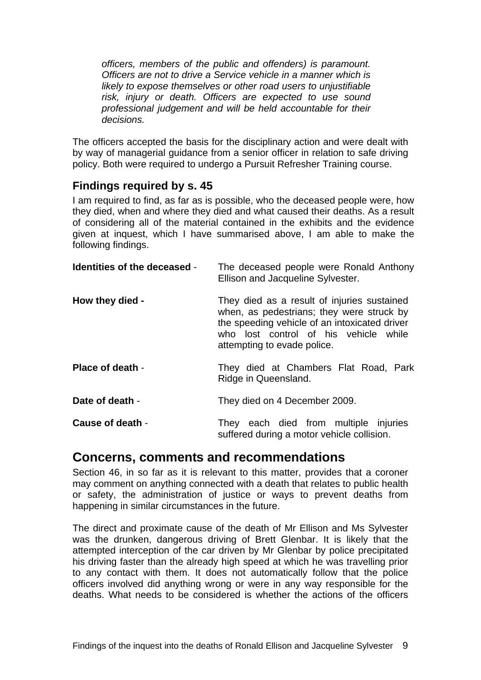*officers, members of the public and offenders) is paramount. Officers are not to drive a Service vehicle in a manner which is likely to expose themselves or other road users to unjustifiable risk, injury or death. Officers are expected to use sound professional judgement and will be held accountable for their decisions.*

The officers accepted the basis for the disciplinary action and were dealt with by way of managerial guidance from a senior officer in relation to safe driving policy. Both were required to undergo a Pursuit Refresher Training course.

### <span id="page-10-0"></span>**Findings required by s. 45**

I am required to find, as far as is possible, who the deceased people were, how they died, when and where they died and what caused their deaths. As a result of considering all of the material contained in the exhibits and the evidence given at inquest, which I have summarised above, I am able to make the following findings.

<span id="page-10-2"></span><span id="page-10-1"></span>

| Identities of the deceased - | The deceased people were Ronald Anthony<br>Ellison and Jacqueline Sylvester.                                                                                                                                      |
|------------------------------|-------------------------------------------------------------------------------------------------------------------------------------------------------------------------------------------------------------------|
| How they died -              | They died as a result of injuries sustained<br>when, as pedestrians; they were struck by<br>the speeding vehicle of an intoxicated driver<br>who lost control of his vehicle while<br>attempting to evade police. |
| Place of death -             | They died at Chambers Flat Road, Park<br>Ridge in Queensland.                                                                                                                                                     |
| Date of death -              | They died on 4 December 2009.                                                                                                                                                                                     |
| Cause of death -             | They each died from multiple injuries<br>suffered during a motor vehicle collision.                                                                                                                               |

## <span id="page-10-6"></span><span id="page-10-5"></span><span id="page-10-4"></span><span id="page-10-3"></span>**Concerns, comments and recommendations**

Section 46, in so far as it is relevant to this matter, provides that a coroner may comment on anything connected with a death that relates to public health or safety, the administration of justice or ways to prevent deaths from happening in similar circumstances in the future.

The direct and proximate cause of the death of Mr Ellison and Ms Sylvester was the drunken, dangerous driving of Brett Glenbar. It is likely that the attempted interception of the car driven by Mr Glenbar by police precipitated his driving faster than the already high speed at which he was travelling prior to any contact with them. It does not automatically follow that the police officers involved did anything wrong or were in any way responsible for the deaths. What needs to be considered is whether the actions of the officers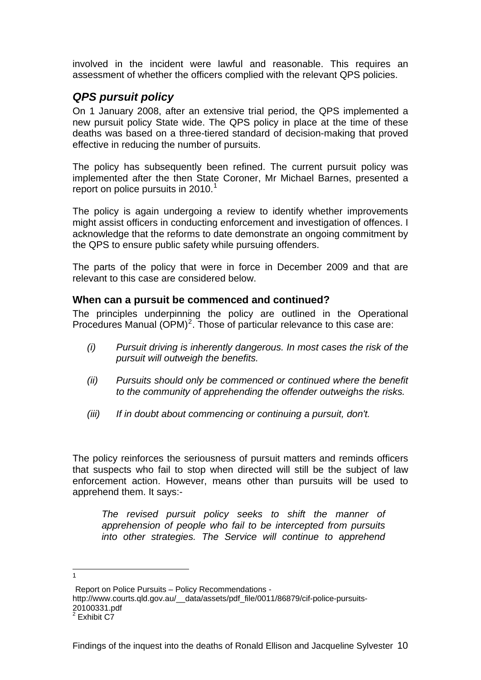involved in the incident were lawful and reasonable. This requires an assessment of whether the officers complied with the relevant QPS policies.

### <span id="page-11-0"></span>*QPS pursuit policy*

On 1 January 2008, after an extensive trial period, the QPS implemented a new pursuit policy State wide. The QPS policy in place at the time of these deaths was based on a three-tiered standard of decision-making that proved effective in reducing the number of pursuits.

The policy has subsequently been refined. The current pursuit policy was implemented after the then State Coroner, Mr Michael Barnes, presented a report on police pursuits in  $2010.<sup>1</sup>$  $2010.<sup>1</sup>$  $2010.<sup>1</sup>$ 

The policy is again undergoing a review to identify whether improvements might assist officers in conducting enforcement and investigation of offences. I acknowledge that the reforms to date demonstrate an ongoing commitment by the QPS to ensure public safety while pursuing offenders.

The parts of the policy that were in force in December 2009 and that are relevant to this case are considered below.

#### <span id="page-11-1"></span>**When can a pursuit be commenced and continued?**

The principles underpinning the policy are outlined in the Operational Procedures Manual  $(OPM)^2$  $(OPM)^2$ . Those of particular relevance to this case are:

- *(i) Pursuit driving is inherently dangerous. In most cases the risk of the pursuit will outweigh the benefits.*
- *(ii) Pursuits should only be commenced or continued where the benefit to the community of apprehending the offender outweighs the risks.*
- *(iii) If in doubt about commencing or continuing a pursuit, don't.*

The policy reinforces the seriousness of pursuit matters and reminds officers that suspects who fail to stop when directed will still be the subject of law enforcement action. However, means other than pursuits will be used to apprehend them. It says:-

*The revised pursuit policy seeks to shift the manner of apprehension of people who fail to be intercepted from pursuits into other strategies. The Service will continue to apprehend* 

http://www.courts.qld.gov.au/\_\_data/assets/pdf\_file/0011/86879/cif-police-pursuits-20100331.pdf

 1

Report on Police Pursuits – Policy Recommendations -

<span id="page-11-2"></span><sup>&</sup>lt;sup>2</sup> Exhibit C7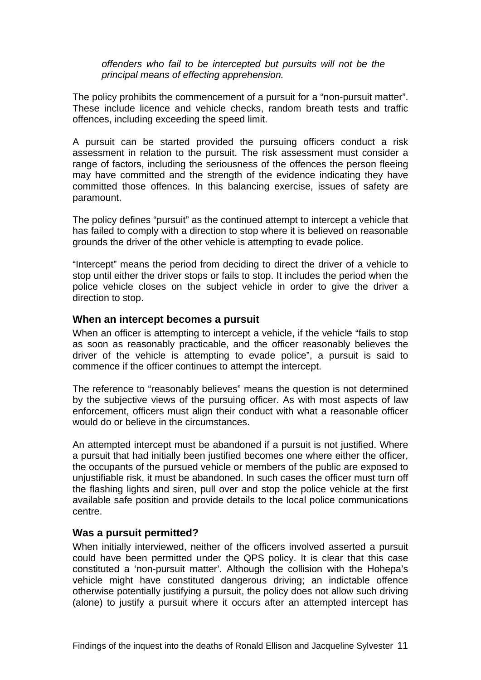*offenders who fail to be intercepted but pursuits will not be the principal means of effecting apprehension.* 

The policy prohibits the commencement of a pursuit for a "non-pursuit matter". These include licence and vehicle checks, random breath tests and traffic offences, including exceeding the speed limit.

A pursuit can be started provided the pursuing officers conduct a risk assessment in relation to the pursuit. The risk assessment must consider a range of factors, including the seriousness of the offences the person fleeing may have committed and the strength of the evidence indicating they have committed those offences. In this balancing exercise, issues of safety are paramount.

The policy defines "pursuit" as the continued attempt to intercept a vehicle that has failed to comply with a direction to stop where it is believed on reasonable grounds the driver of the other vehicle is attempting to evade police.

"Intercept" means the period from deciding to direct the driver of a vehicle to stop until either the driver stops or fails to stop. It includes the period when the police vehicle closes on the subject vehicle in order to give the driver a direction to stop.

#### <span id="page-12-0"></span>**When an intercept becomes a pursuit**

When an officer is attempting to intercept a vehicle, if the vehicle "fails to stop as soon as reasonably practicable, and the officer reasonably believes the driver of the vehicle is attempting to evade police", a pursuit is said to commence if the officer continues to attempt the intercept.

The reference to "reasonably believes" means the question is not determined by the subjective views of the pursuing officer. As with most aspects of law enforcement, officers must align their conduct with what a reasonable officer would do or believe in the circumstances.

An attempted intercept must be abandoned if a pursuit is not justified. Where a pursuit that had initially been justified becomes one where either the officer, the occupants of the pursued vehicle or members of the public are exposed to unjustifiable risk, it must be abandoned. In such cases the officer must turn off the flashing lights and siren, pull over and stop the police vehicle at the first available safe position and provide details to the local police communications centre.

#### <span id="page-12-1"></span>**Was a pursuit permitted?**

When initially interviewed, neither of the officers involved asserted a pursuit could have been permitted under the QPS policy. It is clear that this case constituted a 'non-pursuit matter'. Although the collision with the Hohepa's vehicle might have constituted dangerous driving; an indictable offence otherwise potentially justifying a pursuit, the policy does not allow such driving (alone) to justify a pursuit where it occurs after an attempted intercept has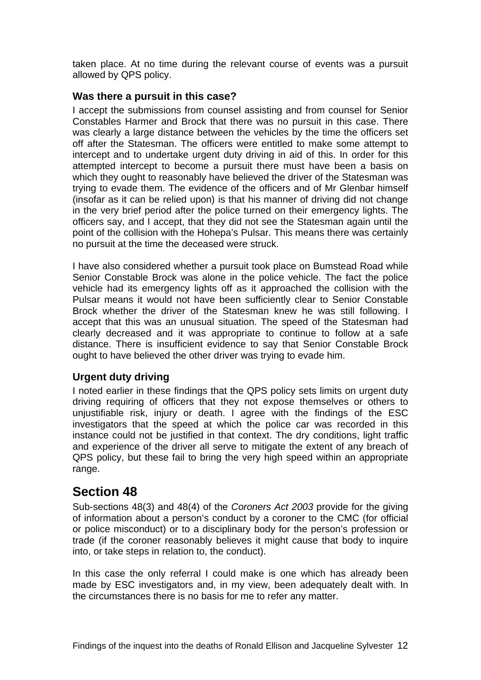taken place. At no time during the relevant course of events was a pursuit allowed by QPS policy.

#### <span id="page-13-0"></span>**Was there a pursuit in this case?**

I accept the submissions from counsel assisting and from counsel for Senior Constables Harmer and Brock that there was no pursuit in this case. There was clearly a large distance between the vehicles by the time the officers set off after the Statesman. The officers were entitled to make some attempt to intercept and to undertake urgent duty driving in aid of this. In order for this attempted intercept to become a pursuit there must have been a basis on which they ought to reasonably have believed the driver of the Statesman was trying to evade them. The evidence of the officers and of Mr Glenbar himself (insofar as it can be relied upon) is that his manner of driving did not change in the very brief period after the police turned on their emergency lights. The officers say, and I accept, that they did not see the Statesman again until the point of the collision with the Hohepa's Pulsar. This means there was certainly no pursuit at the time the deceased were struck.

I have also considered whether a pursuit took place on Bumstead Road while Senior Constable Brock was alone in the police vehicle. The fact the police vehicle had its emergency lights off as it approached the collision with the Pulsar means it would not have been sufficiently clear to Senior Constable Brock whether the driver of the Statesman knew he was still following. I accept that this was an unusual situation. The speed of the Statesman had clearly decreased and it was appropriate to continue to follow at a safe distance. There is insufficient evidence to say that Senior Constable Brock ought to have believed the other driver was trying to evade him.

#### <span id="page-13-1"></span>**Urgent duty driving**

I noted earlier in these findings that the QPS policy sets limits on urgent duty driving requiring of officers that they not expose themselves or others to unjustifiable risk, injury or death. I agree with the findings of the ESC investigators that the speed at which the police car was recorded in this instance could not be justified in that context. The dry conditions, light traffic and experience of the driver all serve to mitigate the extent of any breach of QPS policy, but these fail to bring the very high speed within an appropriate range.

# <span id="page-13-2"></span>**Section 48**

Sub-sections 48(3) and 48(4) of the *Coroners Act 2003* provide for the giving of information about a person's conduct by a coroner to the CMC (for official or police misconduct) or to a disciplinary body for the person's profession or trade (if the coroner reasonably believes it might cause that body to inquire into, or take steps in relation to, the conduct).

In this case the only referral I could make is one which has already been made by ESC investigators and, in my view, been adequately dealt with. In the circumstances there is no basis for me to refer any matter.